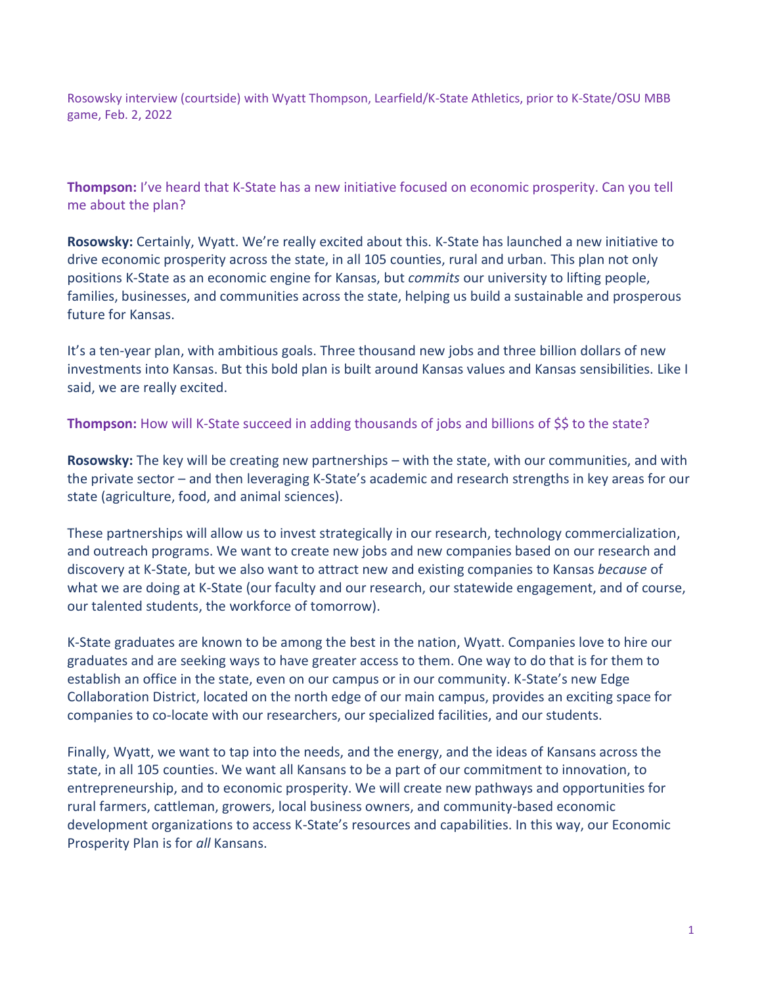Rosowsky interview (courtside) with Wyatt Thompson, Learfield/K-State Athletics, prior to K-State/OSU MBB game, Feb. 2, 2022

**Thompson:** I've heard that K-State has a new initiative focused on economic prosperity. Can you tell me about the plan?

**Rosowsky:** Certainly, Wyatt. We're really excited about this. K-State has launched a new initiative to drive economic prosperity across the state, in all 105 counties, rural and urban. This plan not only positions K-State as an economic engine for Kansas, but *commits* our university to lifting people, families, businesses, and communities across the state, helping us build a sustainable and prosperous future for Kansas.

It's a ten-year plan, with ambitious goals. Three thousand new jobs and three billion dollars of new investments into Kansas. But this bold plan is built around Kansas values and Kansas sensibilities. Like I said, we are really excited.

Thompson: How will K-State succeed in adding thousands of jobs and billions of \$\$ to the state?

**Rosowsky:** The key will be creating new partnerships – with the state, with our communities, and with the private sector – and then leveraging K-State's academic and research strengths in key areas for our state (agriculture, food, and animal sciences).

These partnerships will allow us to invest strategically in our research, technology commercialization, and outreach programs. We want to create new jobs and new companies based on our research and discovery at K-State, but we also want to attract new and existing companies to Kansas *because* of what we are doing at K-State (our faculty and our research, our statewide engagement, and of course, our talented students, the workforce of tomorrow).

K-State graduates are known to be among the best in the nation, Wyatt. Companies love to hire our graduates and are seeking ways to have greater access to them. One way to do that is for them to establish an office in the state, even on our campus or in our community. K-State's new Edge Collaboration District, located on the north edge of our main campus, provides an exciting space for companies to co-locate with our researchers, our specialized facilities, and our students.

Finally, Wyatt, we want to tap into the needs, and the energy, and the ideas of Kansans across the state, in all 105 counties. We want all Kansans to be a part of our commitment to innovation, to entrepreneurship, and to economic prosperity. We will create new pathways and opportunities for rural farmers, cattleman, growers, local business owners, and community-based economic development organizations to access K-State's resources and capabilities. In this way, our Economic Prosperity Plan is for *all* Kansans.